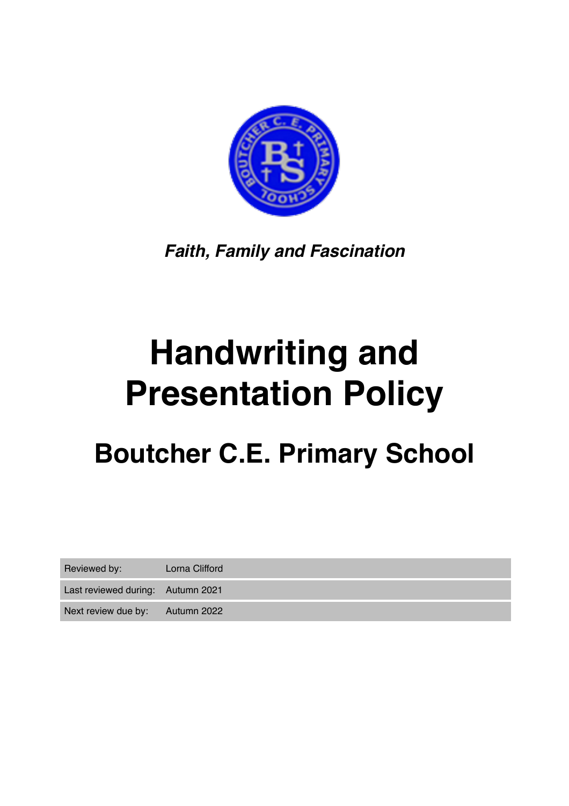

*Faith, Family and Fascination*

# **Handwriting and Presentation Policy**

### **Boutcher C.E. Primary School**

| Reviewed by:                      | Lorna Clifford |
|-----------------------------------|----------------|
|                                   |                |
| Last reviewed during: Autumn 2021 |                |
|                                   |                |
|                                   |                |
| Next review due by:               | Autumn 2022    |
|                                   |                |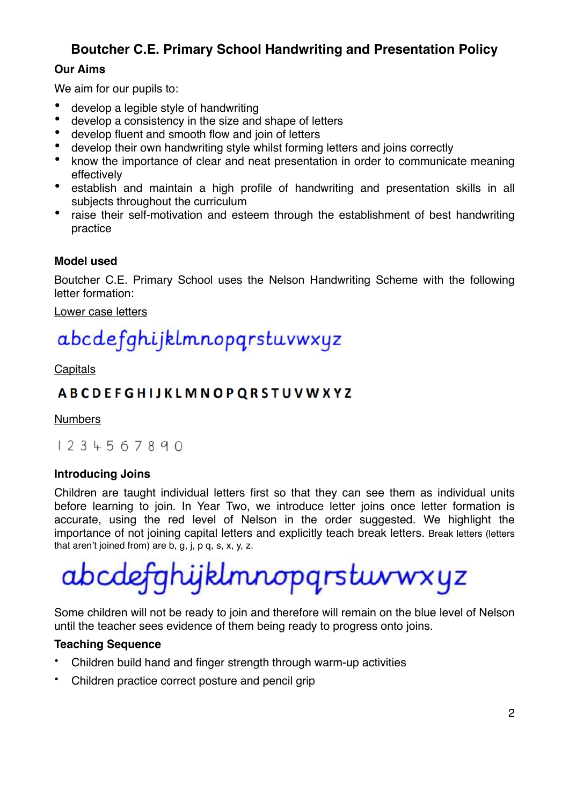### **Boutcher C.E. Primary School Handwriting and Presentation Policy**

### **Our Aims**

We aim for our pupils to:

- develop a legible style of handwriting
- develop a consistency in the size and shape of letters
- develop fluent and smooth flow and join of letters
- develop their own handwriting style whilst forming letters and joins correctly
- know the importance of clear and neat presentation in order to communicate meaning effectively
- establish and maintain a high profile of handwriting and presentation skills in all subjects throughout the curriculum
- raise their self-motivation and esteem through the establishment of best handwriting practice

### **Model used**

Boutcher C.E. Primary School uses the Nelson Handwriting Scheme with the following letter formation:

Lower case letters

### abcdefghijklmnopqrstuvwxyz

**Capitals** 

### **ABCDEFGHIJKLMNOPQRSTUVWXYZ**

#### Numbers

 $1234567890$ 

### **Introducing Joins**

Children are taught individual letters first so that they can see them as individual units before learning to join. In Year Two, we introduce letter joins once letter formation is accurate, using the red level of Nelson in the order suggested. We highlight the importance of not joining capital letters and explicitly teach break letters. Break letters (letters that aren't joined from) are b, g, j, p q, s, x, y, z.

## abcdefghijklmnopqrstuvwxyz

Some children will not be ready to join and therefore will remain on the blue level of Nelson until the teacher sees evidence of them being ready to progress onto joins.

#### **Teaching Sequence**

- Children build hand and finger strength through warm-up activities
- Children practice correct posture and pencil grip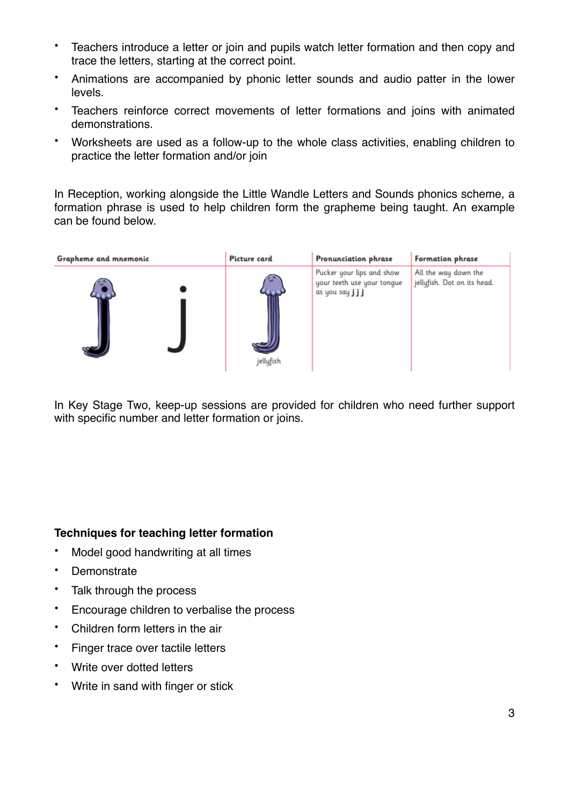- Teachers introduce a letter or join and pupils watch letter formation and then copy and trace the letters, starting at the correct point.
- Animations are accompanied by phonic letter sounds and audio patter in the lower levels.
- Teachers reinforce correct movements of letter formations and joins with animated demonstrations.
- Worksheets are used as a follow-up to the whole class activities, enabling children to practice the letter formation and/or join

In Reception, working alongside the Little Wandle Letters and Sounds phonics scheme, a formation phrase is used to help children form the grapheme being taught. An example can be found below.

| <b>Grapheme and mnemonic</b> | <b>Picture card</b> | <b>Pronunciation phrase</b>                                                 | <b>Formation phrase</b>                             |
|------------------------------|---------------------|-----------------------------------------------------------------------------|-----------------------------------------------------|
| --                           | jellyfish           | Pucker your lips and show<br>your teeth use your tongue<br>as you say j j j | All the way down the<br>jellyfish. Dot on its head. |

In Key Stage Two, keep-up sessions are provided for children who need further support with specific number and letter formation or joins.

### **Techniques for teaching letter formation**

- Model good handwriting at all times
- Demonstrate
- Talk through the process
- Encourage children to verbalise the process
- Children form letters in the air
- Finger trace over tactile letters
- Write over dotted letters
- Write in sand with finger or stick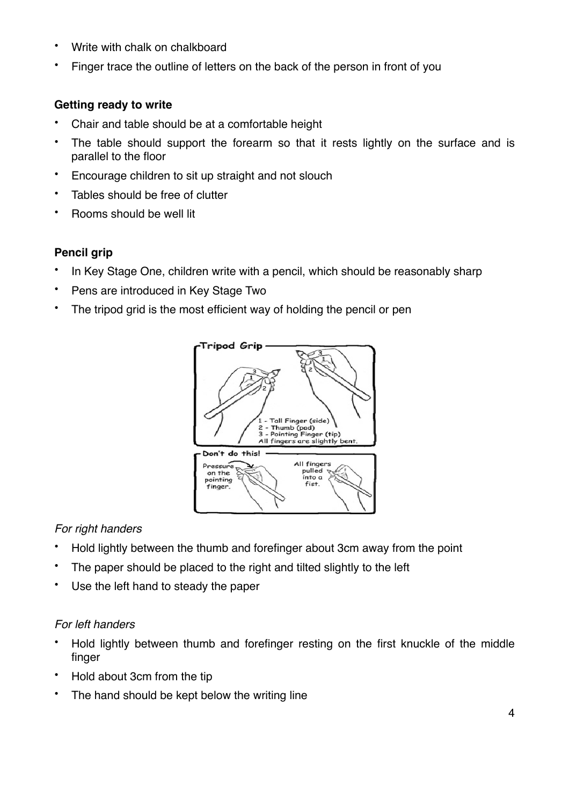- Write with chalk on chalkboard
- Finger trace the outline of letters on the back of the person in front of you

### **Getting ready to write**

- Chair and table should be at a comfortable height
- The table should support the forearm so that it rests lightly on the surface and is parallel to the floor
- Encourage children to sit up straight and not slouch
- Tables should be free of clutter
- Rooms should be well lit

### **Pencil grip**

- In Key Stage One, children write with a pencil, which should be reasonably sharp
- Pens are introduced in Key Stage Two
- The tripod grid is the most efficient way of holding the pencil or pen



### *For right handers*

- Hold lightly between the thumb and forefinger about 3cm away from the point
- The paper should be placed to the right and tilted slightly to the left
- Use the left hand to steady the paper

### *For left handers*

- Hold lightly between thumb and forefinger resting on the first knuckle of the middle finger
- Hold about 3cm from the tip
- The hand should be kept below the writing line